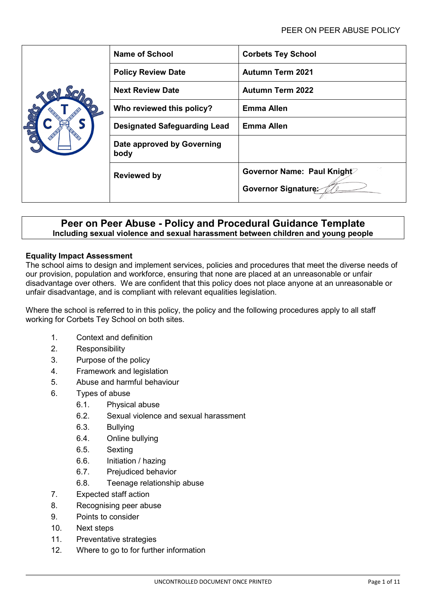|  | <b>Name of School</b>               | <b>Corbets Tey School</b>  |
|--|-------------------------------------|----------------------------|
|  | <b>Policy Review Date</b>           | <b>Autumn Term 2021</b>    |
|  | <b>Next Review Date</b>             | <b>Autumn Term 2022</b>    |
|  | Who reviewed this policy?           | <b>Emma Allen</b>          |
|  | <b>Designated Safeguarding Lead</b> | <b>Emma Allen</b>          |
|  | Date approved by Governing<br>body  |                            |
|  | <b>Reviewed by</b>                  | Governor Name: Paul Knight |
|  |                                     | Governor Signature:        |

# **Peer on Peer Abuse - Policy and Procedural Guidance Template Including sexual violence and sexual harassment between children and young people**

### **Equality Impact Assessment**

The school aims to design and implement services, policies and procedures that meet the diverse needs of our provision, population and workforce, ensuring that none are placed at an unreasonable or unfair disadvantage over others. We are confident that this policy does not place anyone at an unreasonable or unfair disadvantage, and is compliant with relevant equalities legislation.

Where the school is referred to in this policy, the policy and the following procedures apply to all staff working for Corbets Tey School on both sites.

- 1. Context and definition
- 2. Responsibility
- 3. Purpose of the policy
- 4. Framework and legislation
- 5. Abuse and harmful behaviour
- 6. Types of abuse
	- 6.1. Physical abuse
	- 6.2. Sexual violence and sexual harassment
	- 6.3. Bullying
	- 6.4. Online bullying
	- 6.5. Sexting
	- 6.6. Initiation / hazing
	- 6.7. Prejudiced behavior
	- 6.8. Teenage relationship abuse
- 7. Expected staff action
- 8. Recognising peer abuse
- 9. Points to consider
- 10. Next steps
- 11. Preventative strategies
- 12. Where to go to for further information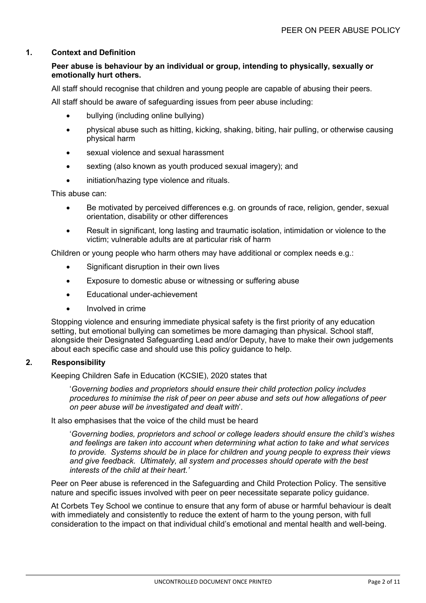### **1. Context and Definition**

## **Peer abuse is behaviour by an individual or group, intending to physically, sexually or emotionally hurt others.**

All staff should recognise that children and young people are capable of abusing their peers.

All staff should be aware of safeguarding issues from peer abuse including:

- bullying (including online bullying)
- physical abuse such as hitting, kicking, shaking, biting, hair pulling, or otherwise causing physical harm
- sexual violence and sexual harassment
- sexting (also known as youth produced sexual imagery); and
- initiation/hazing type violence and rituals.

This abuse can:

- Be motivated by perceived differences e.g. on grounds of race, religion, gender, sexual orientation, disability or other differences
- Result in significant, long lasting and traumatic isolation, intimidation or violence to the victim; vulnerable adults are at particular risk of harm

Children or young people who harm others may have additional or complex needs e.g.:

- Significant disruption in their own lives
- Exposure to domestic abuse or witnessing or suffering abuse
- Educational under-achievement
- Involved in crime

Stopping violence and ensuring immediate physical safety is the first priority of any education setting, but emotional bullying can sometimes be more damaging than physical. School staff, alongside their Designated Safeguarding Lead and/or Deputy, have to make their own judgements about each specific case and should use this policy guidance to help.

### **2. Responsibility**

Keeping Children Safe in Education (KCSIE), 2020 states that

'*Governing bodies and proprietors should ensure their child protection policy includes procedures to minimise the risk of peer on peer abuse and sets out how allegations of peer on peer abuse will be investigated and dealt with*'.

It also emphasises that the voice of the child must be heard

'*Governing bodies, proprietors and school or college leaders should ensure the child's wishes and feelings are taken into account when determining what action to take and what services to provide. Systems should be in place for children and young people to express their views and give feedback. Ultimately, all system and processes should operate with the best interests of the child at their heart.'*

Peer on Peer abuse is referenced in the Safeguarding and Child Protection Policy. The sensitive nature and specific issues involved with peer on peer necessitate separate policy guidance.

At Corbets Tey School we continue to ensure that any form of abuse or harmful behaviour is dealt with immediately and consistently to reduce the extent of harm to the young person, with full consideration to the impact on that individual child's emotional and mental health and well-being.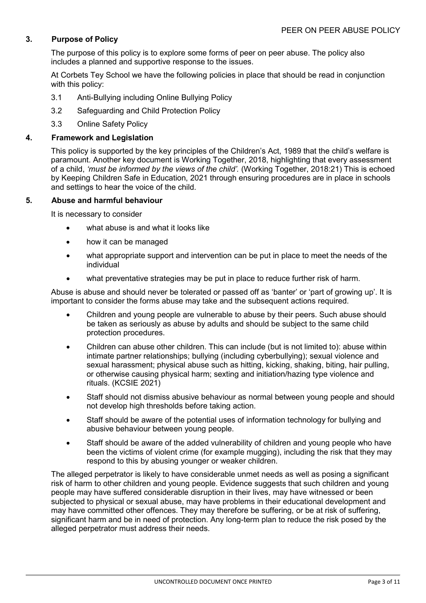# **3. Purpose of Policy**

The purpose of this policy is to explore some forms of peer on peer abuse. The policy also includes a planned and supportive response to the issues.

At Corbets Tey School we have the following policies in place that should be read in conjunction with this policy:

- 3.1 Anti-Bullying including Online Bullying Policy
- 3.2 Safeguarding and Child Protection Policy
- 3.3 Online Safety Policy

### **4. Framework and Legislation**

This policy is supported by the key principles of the Children's Act, 1989 that the child's welfare is paramount. Another key document is Working Together, 2018, highlighting that every assessment of a child, *'must be informed by the views of the child'.* (Working Together, 2018:21) This is echoed by Keeping Children Safe in Education, 2021 through ensuring procedures are in place in schools and settings to hear the voice of the child.

#### **5. Abuse and harmful behaviour**

It is necessary to consider

- what abuse is and what it looks like
- how it can be managed
- what appropriate support and intervention can be put in place to meet the needs of the individual
- what preventative strategies may be put in place to reduce further risk of harm.

Abuse is abuse and should never be tolerated or passed off as 'banter' or 'part of growing up'. It is important to consider the forms abuse may take and the subsequent actions required.

- Children and young people are vulnerable to abuse by their peers. Such abuse should be taken as seriously as abuse by adults and should be subject to the same child protection procedures.
- Children can abuse other children. This can include (but is not limited to): abuse within intimate partner relationships; bullying (including cyberbullying); sexual violence and sexual harassment; physical abuse such as hitting, kicking, shaking, biting, hair pulling, or otherwise causing physical harm; sexting and initiation/hazing type violence and rituals. (KCSIE 2021)
- Staff should not dismiss abusive behaviour as normal between young people and should not develop high thresholds before taking action.
- Staff should be aware of the potential uses of information technology for bullying and abusive behaviour between young people.
- Staff should be aware of the added vulnerability of children and young people who have been the victims of violent crime (for example mugging), including the risk that they may respond to this by abusing younger or weaker children.

The alleged perpetrator is likely to have considerable unmet needs as well as posing a significant risk of harm to other children and young people. Evidence suggests that such children and young people may have suffered considerable disruption in their lives, may have witnessed or been subjected to physical or [sexual abuse,](http://trixresources.proceduresonline.com/nat_key/keywords/sexual_abuse.html) may have problems in their educational development and may have committed other offences. They may therefore be suffering, or be at risk of suffering, [significant harm](http://trixresources.proceduresonline.com/nat_key/keywords/significant_harm.html) and be in need of protection. Any long-term plan to reduce the risk posed by the alleged perpetrator must address their needs.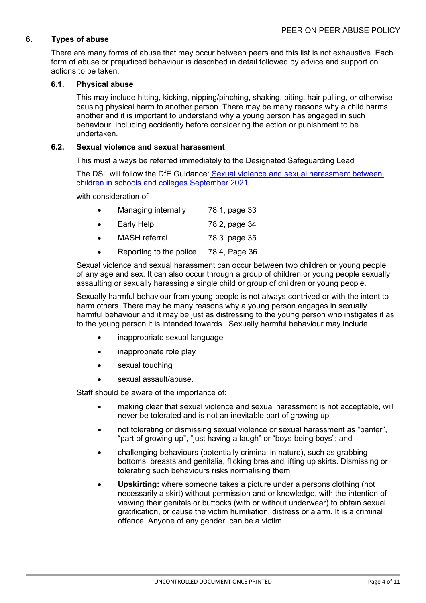# **6. Types of abuse**

There are many forms of abuse that may occur between peers and this list is not exhaustive. Each form of abuse or prejudiced behaviour is described in detail followed by advice and support on actions to be taken.

### **6.1. Physical abuse**

This may include hitting, kicking, nipping/pinching, shaking, biting, hair pulling, or otherwise causing physical harm to another person. There may be many reasons why a child harms another and it is important to understand why a young person has engaged in such behaviour, including accidently before considering the action or punishment to be undertaken.

### **6.2. Sexual violence and sexual harassment**

This must always be referred immediately to the Designated Safeguarding Lead

The DSL will follow the DfE Guidance: [Sexual violence and sexual harassment between](https://www.gov.uk/government/publications/sexual-violence-and-sexual-harassment-between-children-in-schools-and-colleges)  [children in schools and colleges](https://www.gov.uk/government/publications/sexual-violence-and-sexual-harassment-between-children-in-schools-and-colleges) September 2021

with consideration of

| Managing internally | 78.1, page 33 |
|---------------------|---------------|
|                     |               |

- Early Help 78.2, page 34
- MASH referral 78.3. page 35
- Reporting to the police 78.4, Page 36

Sexual violence and sexual harassment can occur between two children or young people of any age and sex. It can also occur through a group of children or young people sexually assaulting or sexually harassing a single child or group of children or young people.

Sexually harmful behaviour from young people is not always contrived or with the intent to harm others. There may be many reasons why a young person engages in sexually harmful behaviour and it may be just as distressing to the young person who instigates it as to the young person it is intended towards. Sexually harmful behaviour may include

- inappropriate sexual language
- inappropriate role play
- sexual touching
- sexual assault/abuse.

Staff should be aware of the importance of:

- making clear that sexual violence and sexual harassment is not acceptable, will never be tolerated and is not an inevitable part of growing up
- not tolerating or dismissing sexual violence or sexual harassment as "banter", "part of growing up", "just having a laugh" or "boys being boys"; and
- challenging behaviours (potentially criminal in nature), such as grabbing bottoms, breasts and genitalia, flicking bras and lifting up skirts. Dismissing or tolerating such behaviours risks normalising them
- **Upskirting:** where someone takes a picture under a persons clothing (not necessarily a skirt) without permission and or knowledge, with the intention of viewing their genitals or buttocks (with or without underwear) to obtain sexual gratification, or cause the victim humiliation, distress or alarm. It is a criminal offence. Anyone of any gender, can be a victim.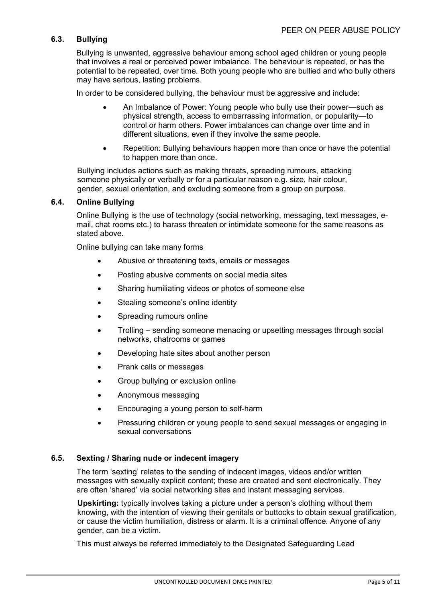## **6.3. Bullying**

Bullying is unwanted, aggressive behaviour among school aged children or young people that involves a real or perceived power imbalance. The behaviour is repeated, or has the potential to be repeated, over time. Both young people who are bullied and who bully others may have serious, lasting problems.

In order to be considered bullying, the behaviour must be aggressive and include:

- An Imbalance of Power: Young people who bully use their power—such as physical strength, access to embarrassing information, or popularity—to control or harm others. Power imbalances can change over time and in different situations, even if they involve the same people.
- Repetition: Bullying behaviours happen more than once or have the potential to happen more than once.

Bullying includes actions such as making threats, spreading rumours, attacking someone physically or verbally or for a particular reason e.g. size, hair colour, gender, sexual orientation, and excluding someone from a group on purpose.

#### **6.4. Online Bullying**

Online Bullying is the use of technology (social networking, messaging, text messages, email, chat rooms etc.) to harass threaten or intimidate someone for the same reasons as stated above.

Online bullying can take many forms

- Abusive or threatening texts, emails or messages
- Posting abusive comments on social media sites
- Sharing humiliating videos or photos of someone else
- Stealing someone's online identity
- Spreading rumours online
- Trolling sending someone menacing or upsetting messages through social networks, chatrooms or games
- Developing hate sites about another person
- Prank calls or messages
- Group bullying or exclusion online
- Anonymous messaging
- Encouraging a young person to self-harm
- Pressuring children or young people to send sexual messages or engaging in sexual conversations

### **6.5. Sexting / Sharing nude or indecent imagery**

The term 'sexting' relates to the sending of indecent images, videos and/or written messages with sexually explicit content; these are created and sent electronically. They are often 'shared' via social networking sites and instant messaging services.

**Upskirting:** typically involves taking a picture under a person's clothing without them knowing, with the intention of viewing their genitals or buttocks to obtain sexual gratification, or cause the victim humiliation, distress or alarm. It is a criminal offence. Anyone of any gender, can be a victim.

This must always be referred immediately to the Designated Safeguarding Lead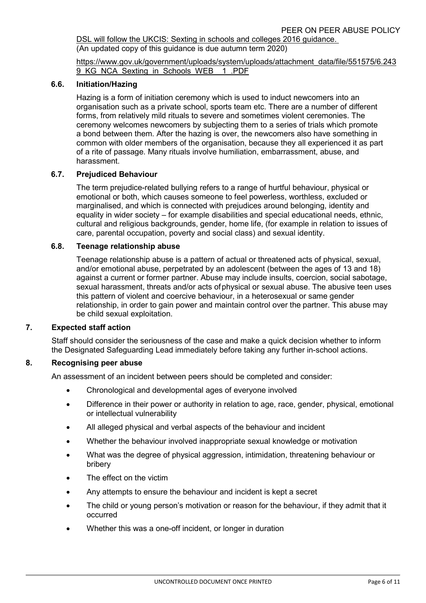DSL will follow the UKCIS: Sexting in schools and colleges 2016 guidance. (An updated copy of this guidance is due autumn term 2020)

[https://www.gov.uk/government/uploads/system/uploads/attachment\\_data/file/551575/6.243](https://www.gov.uk/government/uploads/system/uploads/attachment_data/file/551575/6.2439_KG_NCA_Sexting_in_Schools_WEB__1_.PDF) 9 KG NCA Sexting in Schools WEB 1.PDF

#### **6.6. Initiation/Hazing**

Hazing is a form of initiation ceremony which is used to induct newcomers into an organisation such as a private school, sports team etc. There are a number of different forms, from relatively mild rituals to severe and sometimes violent ceremonies. The ceremony welcomes newcomers by subjecting them to a series of trials which promote a bond between them. After the hazing is over, the newcomers also have something in common with older members of the organisation, because they all experienced it as part of a rite of passage. Many rituals involve humiliation, embarrassment, abuse, and harassment.

#### **6.7. Prejudiced Behaviour**

The term prejudice-related bullying refers to a range of hurtful behaviour, physical or emotional or both, which causes someone to feel powerless, worthless, excluded or marginalised, and which is connected with prejudices around belonging, identity and equality in wider society – for example disabilities and special educational needs, ethnic, cultural and religious backgrounds, gender, home life, (for example in relation to issues of care, parental occupation, poverty and social class) and sexual identity.

#### **6.8. Teenage relationship abuse**

Teenage relationship abuse is a pattern of actual or threatened acts of physical, sexual, and/or emotional abuse, perpetrated by an adolescent (between the ages of 13 and 18) against a current or former partner. Abuse may include insults, coercion, social sabotage, sexual harassment, threats and/or acts ofphysical or sexual abuse. The abusive teen uses this pattern of violent and coercive behaviour, in a heterosexual or same gender relationship, in order to gain power and maintain control over the partner. This abuse may be child sexual exploitation.

### **7. Expected staff action**

Staff should consider the seriousness of the case and make a quick decision whether to inform the Designated Safeguarding Lead immediately before taking any further in-school actions.

#### **8. Recognising peer abuse**

An assessment of an incident between peers should be completed and consider:

- Chronological and developmental ages of everyone involved
- Difference in their power or authority in relation to age, race, gender, physical, emotional or intellectual vulnerability
- All alleged physical and verbal aspects of the behaviour and incident
- Whether the behaviour involved inappropriate sexual knowledge or motivation
- What was the degree of physical aggression, intimidation, threatening behaviour or bribery
- The effect on the victim
- Any attempts to ensure the behaviour and incident is kept a secret
- The child or young person's motivation or reason for the behaviour, if they admit that it occurred
- Whether this was a one-off incident, or longer in duration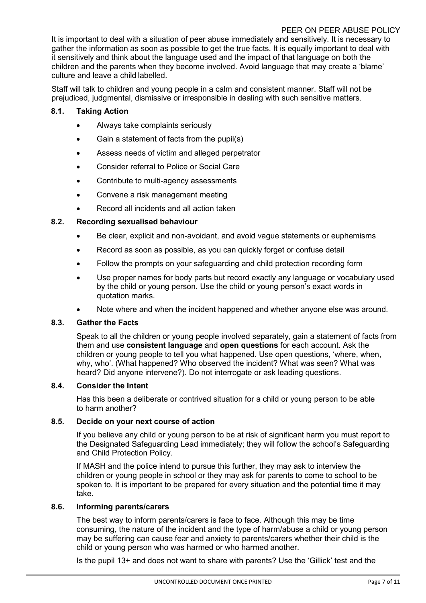### PEER ON PEER ABUSE POLICY

It is important to deal with a situation of peer abuse immediately and sensitively. It is necessary to gather the information as soon as possible to get the true facts. It is equally important to deal with it sensitively and think about the language used and the impact of that language on both the children and the parents when they become involved. Avoid language that may create a 'blame' culture and leave a child labelled.

Staff will talk to children and young people in a calm and consistent manner. Staff will not be prejudiced, judgmental, dismissive or irresponsible in dealing with such sensitive matters.

## **8.1. Taking Action**

- Always take complaints seriously
- Gain a statement of facts from the pupil(s)
- Assess needs of victim and alleged perpetrator
- Consider referral to Police or Social Care
- Contribute to multi-agency assessments
- Convene a risk management meeting
- Record all incidents and all action taken

## **8.2. Recording sexualised behaviour**

- Be clear, explicit and non-avoidant, and avoid vague statements or euphemisms
- Record as soon as possible, as you can quickly forget or confuse detail
- Follow the prompts on your safeguarding and child protection recording form
- Use proper names for body parts but record exactly any language or vocabulary used by the child or young person. Use the child or young person's exact words in quotation marks.
- Note where and when the incident happened and whether anyone else was around.

### **8.3. Gather the Facts**

Speak to all the children or young people involved separately, gain a statement of facts from them and use **consistent language** and **open questions** for each account. Ask the children or young people to tell you what happened. Use open questions, 'where, when, why, who'. (What happened? Who observed the incident? What was seen? What was heard? Did anyone intervene?). Do not interrogate or ask leading questions.

### **8.4. Consider the Intent**

Has this been a deliberate or contrived situation for a child or young person to be able to harm another?

### **8.5. Decide on your next course of action**

If you believe any child or young person to be at risk of significant harm you must report to the Designated Safeguarding Lead immediately; they will follow the school's Safeguarding and Child Protection Policy.

If MASH and the police intend to pursue this further, they may ask to interview the children or young people in school or they may ask for parents to come to school to be spoken to. It is important to be prepared for every situation and the potential time it may take.

### **8.6. Informing parents/carers**

The best way to inform parents/carers is face to face. Although this may be time consuming, the nature of the incident and the type of harm/abuse a child or young person may be suffering can cause fear and anxiety to parents/carers whether their child is the child or young person who was harmed or who harmed another.

Is the pupil 13+ and does not want to share with parents? Use the 'Gillick' test and the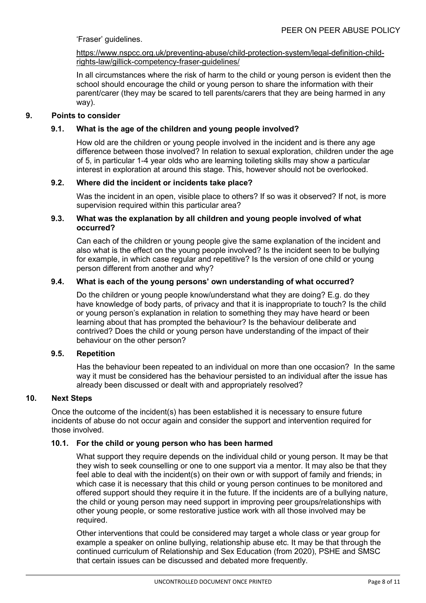'Fraser' guidelines.

#### [https://www.nspcc.org.uk/preventing-abuse/child-protection-system/legal-definition-child](https://www.nspcc.org.uk/preventing-abuse/child-protection-system/legal-definition-child-rights-law/gillick-competency-fraser-guidelines/)[rights-law/gillick-competency-fraser-guidelines/](https://www.nspcc.org.uk/preventing-abuse/child-protection-system/legal-definition-child-rights-law/gillick-competency-fraser-guidelines/)

In all circumstances where the risk of harm to the child or young person is evident then the school should encourage the child or young person to share the information with their parent/carer (they may be scared to tell parents/carers that they are being harmed in any way).

## **9. Points to consider**

# **9.1. What is the age of the children and young people involved?**

How old are the children or young people involved in the incident and is there any age difference between those involved? In relation to sexual exploration, children under the age of 5, in particular 1-4 year olds who are learning toileting skills may show a particular interest in exploration at around this stage. This, however should not be overlooked.

## **9.2. Where did the incident or incidents take place?**

Was the incident in an open, visible place to others? If so was it observed? If not, is more supervision required within this particular area?

### **9.3. What was the explanation by all children and young people involved of what occurred?**

Can each of the children or young people give the same explanation of the incident and also what is the effect on the young people involved? Is the incident seen to be bullying for example, in which case regular and repetitive? Is the version of one child or young person different from another and why?

## **9.4. What is each of the young persons' own understanding of what occurred?**

Do the children or young people know/understand what they are doing? E.g. do they have knowledge of body parts, of privacy and that it is inappropriate to touch? Is the child or young person's explanation in relation to something they may have heard or been learning about that has prompted the behaviour? Is the behaviour deliberate and contrived? Does the child or young person have understanding of the impact of their behaviour on the other person?

### **9.5. Repetition**

Has the behaviour been repeated to an individual on more than one occasion? In the same way it must be considered has the behaviour persisted to an individual after the issue has already been discussed or dealt with and appropriately resolved?

### **10. Next Steps**

Once the outcome of the incident(s) has been established it is necessary to ensure future incidents of abuse do not occur again and consider the support and intervention required for those involved.

### **10.1. For the child or young person who has been harmed**

What support they require depends on the individual child or young person. It may be that they wish to seek counselling or one to one support via a mentor. It may also be that they feel able to deal with the incident(s) on their own or with support of family and friends; in which case it is necessary that this child or young person continues to be monitored and offered support should they require it in the future. If the incidents are of a bullying nature, the child or young person may need support in improving peer groups/relationships with other young people, or some restorative justice work with all those involved may be required.

Other interventions that could be considered may target a whole class or year group for example a speaker on online bullying, relationship abuse etc. It may be that through the continued curriculum of Relationship and Sex Education (from 2020), PSHE and SMSC that certain issues can be discussed and debated more frequently.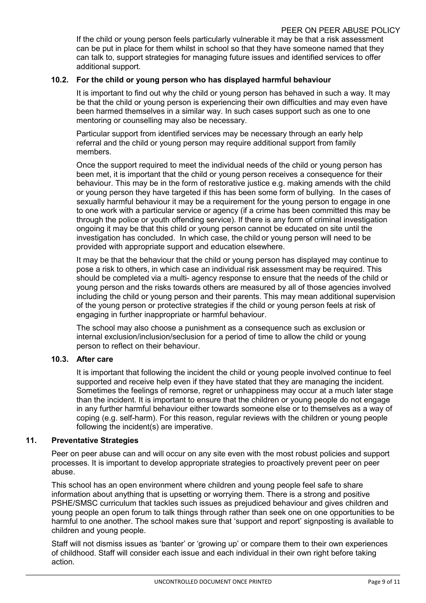If the child or young person feels particularly vulnerable it may be that a risk assessment can be put in place for them whilst in school so that they have someone named that they can talk to, support strategies for managing future issues and identified services to offer additional support.

#### **10.2. For the child or young person who has displayed harmful behaviour**

It is important to find out why the child or young person has behaved in such a way. It may be that the child or young person is experiencing their own difficulties and may even have been harmed themselves in a similar way. In such cases support such as one to one mentoring or counselling may also be necessary.

Particular support from identified services may be necessary through an early help referral and the child or young person may require additional support from family members.

Once the support required to meet the individual needs of the child or young person has been met, it is important that the child or young person receives a consequence for their behaviour. This may be in the form of restorative justice e.g. making amends with the child or young person they have targeted if this has been some form of bullying. In the cases of sexually harmful behaviour it may be a requirement for the young person to engage in one to one work with a particular service or agency (if a crime has been committed this may be through the police or youth offending service). If there is any form of criminal investigation ongoing it may be that this child or young person cannot be educated on site until the investigation has concluded. In which case, the child or young person will need to be provided with appropriate support and education elsewhere.

It may be that the behaviour that the child or young person has displayed may continue to pose a risk to others, in which case an individual risk assessment may be required. This should be completed via a multi- agency response to ensure that the needs of the child or young person and the risks towards others are measured by all of those agencies involved including the child or young person and their parents. This may mean additional supervision of the young person or protective strategies if the child or young person feels at risk of engaging in further inappropriate or harmful behaviour.

The school may also choose a punishment as a consequence such as exclusion or internal exclusion/inclusion/seclusion for a period of time to allow the child or young person to reflect on their behaviour.

### **10.3. After care**

It is important that following the incident the child or young people involved continue to feel supported and receive help even if they have stated that they are managing the incident. Sometimes the feelings of remorse, regret or unhappiness may occur at a much later stage than the incident. It is important to ensure that the children or young people do not engage in any further harmful behaviour either towards someone else or to themselves as a way of coping (e.g. self-harm). For this reason, regular reviews with the children or young people following the incident(s) are imperative.

#### **11. Preventative Strategies**

Peer on peer abuse can and will occur on any site even with the most robust policies and support processes. It is important to develop appropriate strategies to proactively prevent peer on peer abuse.

This school has an open environment where children and young people feel safe to share information about anything that is upsetting or worrying them. There is a strong and positive PSHE/SMSC curriculum that tackles such issues as prejudiced behaviour and gives children and young people an open forum to talk things through rather than seek one on one opportunities to be harmful to one another. The school makes sure that 'support and report' signposting is available to children and young people.

Staff will not dismiss issues as 'banter' or 'growing up' or compare them to their own experiences of childhood. Staff will consider each issue and each individual in their own right before taking action.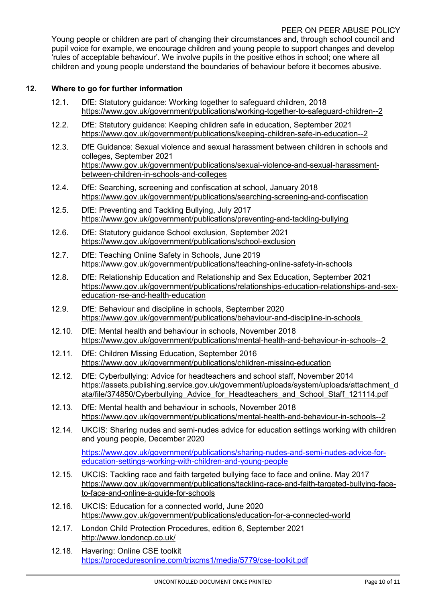## PEER ON PEER ABUSE POLICY

Young people or children are part of changing their circumstances and, through school council and pupil voice for example, we encourage children and young people to support changes and develop 'rules of acceptable behaviour'. We involve pupils in the positive ethos in school; one where all children and young people understand the boundaries of behaviour before it becomes abusive.

## **12. Where to go for further information**

- 12.1. DfE: Statutory guidance: Working together to safeguard children, 2018 <https://www.gov.uk/government/publications/working-together-to-safeguard-children--2>
- 12.2. DfE: Statutory guidance: Keeping children safe in education, September 2021 <https://www.gov.uk/government/publications/keeping-children-safe-in-education--2>
- 12.3. DfE Guidance: [Sexual violence and sexual harassment between children in schools and](https://www.gov.uk/government/uploads/system/uploads/attachment_data/file/719902/Sexual_violence_and_sexual_harassment_between_children_in_schools_and_colleges.pdf)  [colleges,](https://www.gov.uk/government/uploads/system/uploads/attachment_data/file/719902/Sexual_violence_and_sexual_harassment_between_children_in_schools_and_colleges.pdf) September 2021 [https://www.gov.uk/government/publications/sexual-violence-and-sexual-harassment](https://www.gov.uk/government/publications/sexual-violence-and-sexual-harassment-between-children-in-schools-and-colleges)[between-children-in-schools-and-colleges](https://www.gov.uk/government/publications/sexual-violence-and-sexual-harassment-between-children-in-schools-and-colleges)
- 12.4. DfE: Searching, screening and confiscation at school, January 2018 <https://www.gov.uk/government/publications/searching-screening-and-confiscation>
- 12.5. DfE: Preventing and Tackling Bullying, July 2017 <https://www.gov.uk/government/publications/preventing-and-tackling-bullying>
- 12.6. DfE: Statutory guidance School exclusion, September 2021 <https://www.gov.uk/government/publications/school-exclusion>
- 12.7. DfE: Teaching Online Safety in Schools, June 2019 <https://www.gov.uk/government/publications/teaching-online-safety-in-schools>
- 12.8. DfE: Relationship Education and Relationship and Sex Education, September 2021 [https://www.gov.uk/government/publications/relationships-education-relationships-and-sex](https://www.gov.uk/government/publications/relationships-education-relationships-and-sex-education-rse-and-health-education)[education-rse-and-health-education](https://www.gov.uk/government/publications/relationships-education-relationships-and-sex-education-rse-and-health-education)
- 12.9. DfE: Behaviour and discipline in schools, September 2020 <https://www.gov.uk/government/publications/behaviour-and-discipline-in-schools>
- 12.10. DfE: Mental health and behaviour in schools, November 2018 <https://www.gov.uk/government/publications/mental-health-and-behaviour-in-schools--2>
- 12.11. DfE: Children Missing Education, September 2016 <https://www.gov.uk/government/publications/children-missing-education>
- 12.12. DfE: Cyberbullying: Advice for headteachers and school staff, November 2014 [https://assets.publishing.service.gov.uk/government/uploads/system/uploads/attachment\\_d](https://assets.publishing.service.gov.uk/government/uploads/system/uploads/attachment_data/file/374850/Cyberbullying_Advice_for_Headteachers_and_School_Staff_121114.pdf) [ata/file/374850/Cyberbullying\\_Advice\\_for\\_Headteachers\\_and\\_School\\_Staff\\_121114.pdf](https://assets.publishing.service.gov.uk/government/uploads/system/uploads/attachment_data/file/374850/Cyberbullying_Advice_for_Headteachers_and_School_Staff_121114.pdf)
- 12.13. DfE: Mental health and behaviour in schools, November 2018 <https://www.gov.uk/government/publications/mental-health-and-behaviour-in-schools--2>
- 12.14. UKCIS: Sharing nudes and semi-nudes advice for education settings working with children and young people, December 2020

[https://www.gov.uk/government/publications/sharing-nudes-and-semi-nudes-advice-for](https://www.gov.uk/government/publications/sharing-nudes-and-semi-nudes-advice-for-education-settings-working-with-children-and-young-people)[education-settings-working-with-children-and-young-people](https://www.gov.uk/government/publications/sharing-nudes-and-semi-nudes-advice-for-education-settings-working-with-children-and-young-people)

- 12.15. UKCIS: Tackling race and faith targeted bullying face to face and online. May 2017 [https://www.gov.uk/government/publications/tackling-race-and-faith-targeted-bullying-face](https://www.gov.uk/government/publications/tackling-race-and-faith-targeted-bullying-face-to-face-and-online-a-guide-for-schools)[to-face-and-online-a-guide-for-schools](https://www.gov.uk/government/publications/tackling-race-and-faith-targeted-bullying-face-to-face-and-online-a-guide-for-schools)
- 12.16. UKCIS: Education for a connected world, June 2020 <https://www.gov.uk/government/publications/education-for-a-connected-world>
- 12.17. London Child Protection Procedures, edition 6, September 2021 <http://www.londoncp.co.uk/>
- 12.18. Havering: Online CSE toolkit <https://proceduresonline.com/trixcms1/media/5779/cse-toolkit.pdf>